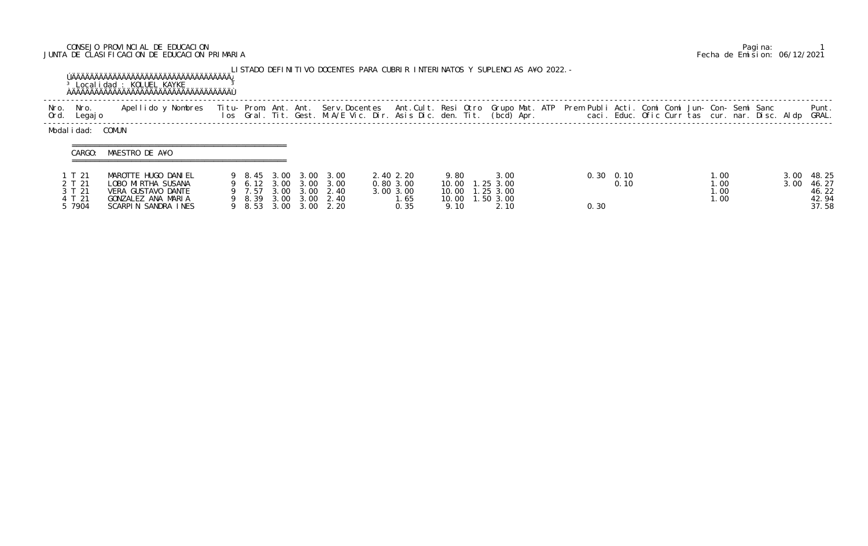## CONSEJO PROVINCIAL DE EDUCACION Pagina: 1 JUNTA DE CLASIFICACION DE EDUCACION PRIMARIA Fecha de Emision: 06/12/2021

|              |                                                | <sup>3</sup> Localidad : KOLUEL KAYKE                                                                        |                                                   |                      |                      |                                                     | LISTADO DEFINITIVO DOCENTES PARA CUBRIR INTERINATOS Y SUPLENCIAS A¥O 2022. –                                                                                                                 |                       |                                                                    |  |              |              |  |                                                |              |                                           |
|--------------|------------------------------------------------|--------------------------------------------------------------------------------------------------------------|---------------------------------------------------|----------------------|----------------------|-----------------------------------------------------|----------------------------------------------------------------------------------------------------------------------------------------------------------------------------------------------|-----------------------|--------------------------------------------------------------------|--|--------------|--------------|--|------------------------------------------------|--------------|-------------------------------------------|
| Nro.<br>Ord. | Nro.<br>Legaj o                                | Apellido y Nombres                                                                                           |                                                   |                      |                      |                                                     | Titu- Prom. Ant. Ant. Serv.Docentes Ant.Cult. Resi Otro Grupo Mat. ATP Prem Publi Acti. Comi Comi Jun- Con- Semi Sanc<br>Ios Gral. Tit. Gest. M.A/E Vic. Dir. Asis Dic. den. Tit. (bcd) Apr. |                       |                                                                    |  |              |              |  | caci. Educ. Ofic Curr tas cur. nar. Disc. Aldp |              | Punt.<br>GRAL.                            |
|              | Modalidad:<br>CARGO:                           | COMUN<br>MAESTRO DE A¥O                                                                                      |                                                   |                      |                      |                                                     |                                                                                                                                                                                              |                       |                                                                    |  |              |              |  |                                                |              |                                           |
|              | 1 T 21<br>2 T 21<br>3 T 21<br>4 T 21<br>5 7904 | MAROTTE HUGO DANIEL<br>LOBO MIRTHA SUSANA<br>VERA GUSTAVO DANTE<br>GONZALEZ ANA MARIA<br>SCARPIN SANDRA INES | 9 8.45<br>9 6.12 3.00<br>9 7.57<br>9 8.39<br>8.53 | 3.00<br>3.00<br>3.00 | 3.00<br>3.00<br>3.00 | 3.00 3.00 3.00<br>3.00<br>2.40<br>3.00 2.40<br>2.20 | 2.40 2.20<br>0.803.00<br>3.00 3.00<br>l. 65<br>0.35                                                                                                                                          | 9.80<br>10.00<br>9.10 | 3.00<br>1.253.00<br>10.00  1.25  3.00<br>10.00  1.50  3.00<br>2.10 |  | 0.30<br>0.30 | 0.10<br>0.10 |  | 1.00<br>1.00<br>1.00<br>1.00                   | 3.00<br>3.00 | 48.25<br>46.27<br>46.22<br>42.94<br>37.58 |